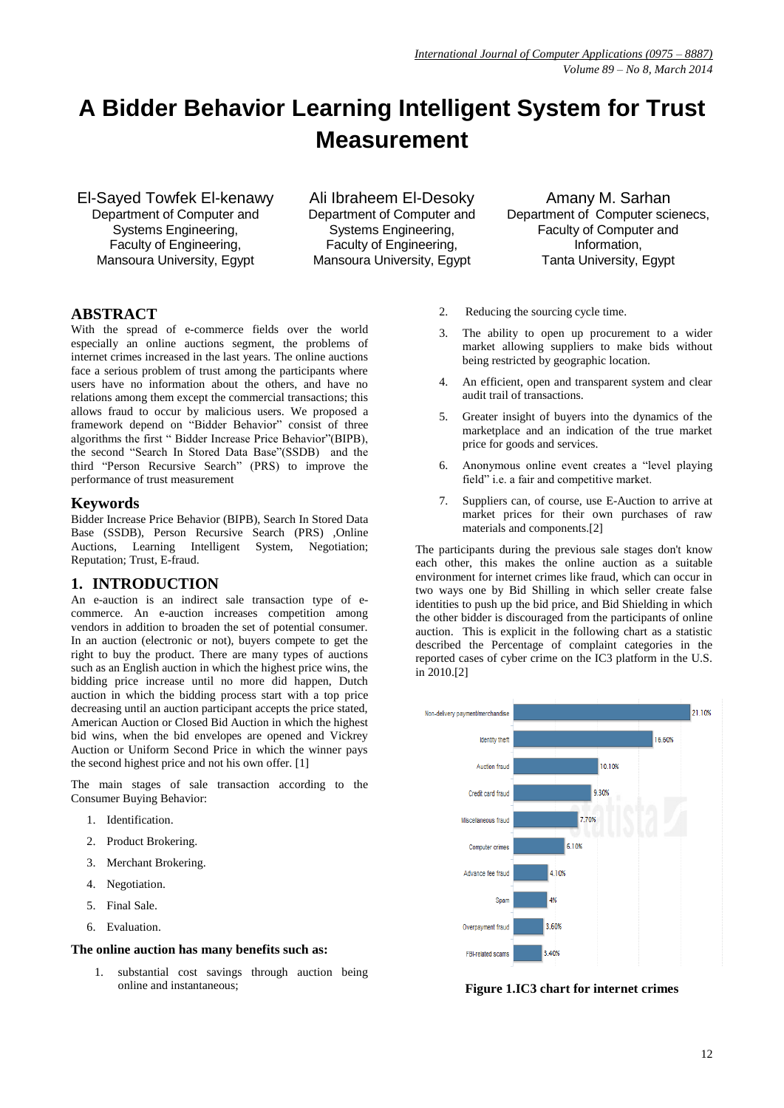# **A Bidder Behavior Learning Intelligent System for Trust Measurement**

El-Sayed Towfek El-kenawy Department of Computer and Systems Engineering, Faculty of Engineering, Mansoura University, Egypt

Ali Ibraheem El-Desoky Department of Computer and Systems Engineering, Faculty of Engineering, Mansoura University, Egypt

Amany M. Sarhan Department of Computer scienecs, Faculty of Computer and Information, Tanta University, Egypt

# **ABSTRACT**

With the spread of e-commerce fields over the world especially an online auctions segment, the problems of internet crimes increased in the last years. The online auctions face a serious problem of trust among the participants where users have no information about the others, and have no relations among them except the commercial transactions; this allows fraud to occur by malicious users. We proposed a framework depend on "Bidder Behavior" consist of three algorithms the first " Bidder Increase Price Behavior"(BIPB), the second "Search In Stored Data Base"(SSDB) and the third "Person Recursive Search" (PRS) to improve the performance of trust measurement

#### **Keywords**

Bidder Increase Price Behavior (BIPB), Search In Stored Data Base (SSDB), Person Recursive Search (PRS) ,Online Auctions, Learning Intelligent System, Negotiation; Reputation; Trust, E-fraud.

## **1. INTRODUCTION**

An e-auction is an indirect sale transaction type of ecommerce. An e-auction increases competition among vendors in addition to broaden the set of potential consumer. In an auction (electronic or not), buyers compete to get the right to buy the product. There are many types of auctions such as an English auction in which the highest price wins, the bidding price increase until no more did happen, Dutch auction in which the bidding process start with a top price decreasing until an auction participant accepts the price stated, American Auction or Closed Bid Auction in which the highest bid wins, when the bid envelopes are opened and Vickrey Auction or Uniform Second Price in which the winner pays the second highest price and not his own offer. [1]

The main stages of sale transaction according to the Consumer Buying Behavior:

- 1. Identification.
- 2. Product Brokering.
- 3. Merchant Brokering.
- 4. Negotiation.
- 5. Final Sale.
- 6. Evaluation.

#### **The online auction has many benefits such as:**

1. substantial cost savings through auction being online and instantaneous;

- 2. Reducing the sourcing cycle time.
- 3. The ability to open up procurement to a wider market allowing suppliers to make bids without being restricted by geographic location.
- 4. An efficient, open and transparent system and clear audit trail of transactions.
- 5. Greater insight of buyers into the dynamics of the marketplace and an indication of the true market price for goods and services.
- 6. Anonymous online event creates a "level playing field" i.e. a fair and competitive market.
- 7. Suppliers can, of course, use E-Auction to arrive at market prices for their own purchases of raw materials and components.[2]

The participants during the previous sale stages don't know each other, this makes the online auction as a suitable environment for internet crimes like fraud, which can occur in two ways one by Bid Shilling in which seller create false identities to push up the bid price, and Bid Shielding in which the other bidder is discouraged from the participants of online auction. This is explicit in the following chart as a statistic described the Percentage of complaint categories in the reported cases of cyber crime on the IC3 platform in the U.S. in 2010.[2]



**Figure 1.IC3 chart for internet crimes**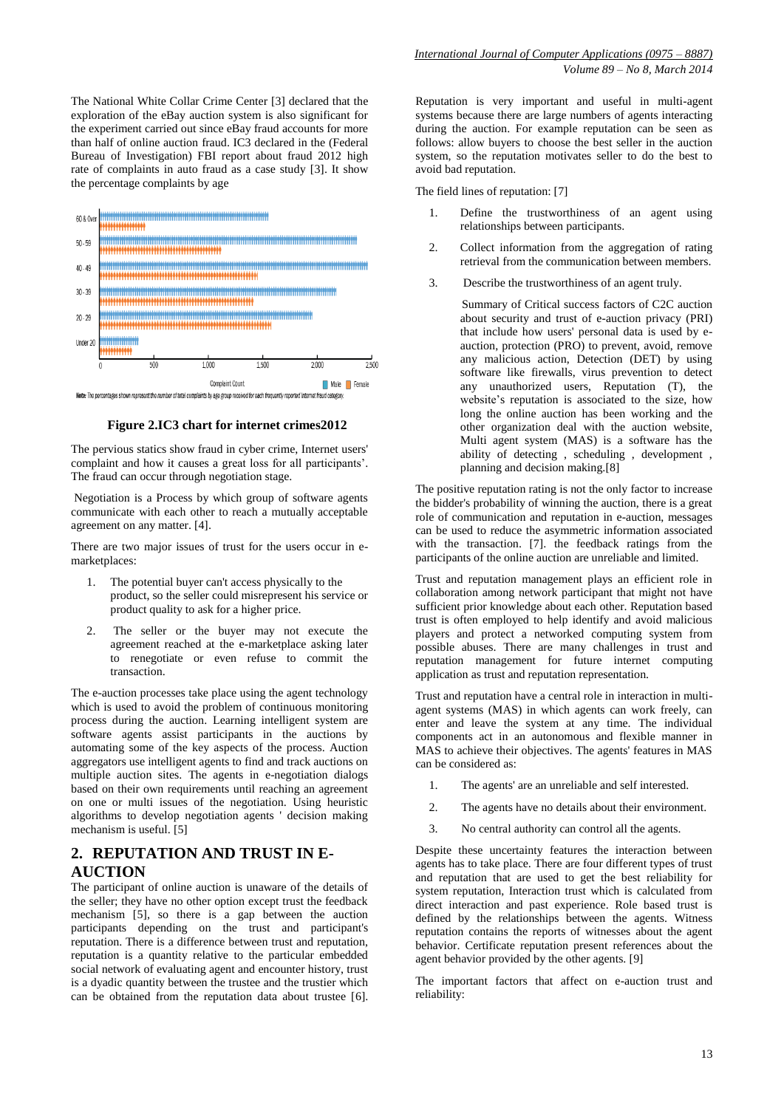The National White Collar Crime Center [3] declared that the exploration of the eBay auction system is also significant for the experiment carried out since eBay fraud accounts for more than half of online auction fraud. IC3 declared in the (Federal Bureau of Investigation) FBI report about fraud 2012 high rate of complaints in auto fraud as a case study [3]. It show the percentage complaints by age



**Figure 2.IC3 chart for internet crimes2012** 

The pervious statics show fraud in cyber crime, Internet users' complaint and how it causes a great loss for all participants'. The fraud can occur through negotiation stage.

Negotiation is a Process by which group of software agents communicate with each other to reach a mutually acceptable agreement on any matter. [4].

There are two major issues of trust for the users occur in emarketplaces:

- 1. The potential buyer can't access physically to the product, so the seller could misrepresent his service or product quality to ask for a higher price.
- 2. The seller or the buyer may not execute the agreement reached at the e-marketplace asking later to renegotiate or even refuse to commit the transaction.

The e-auction processes take place using the agent technology which is used to avoid the problem of continuous monitoring process during the auction. Learning intelligent system are software agents assist participants in the auctions by automating some of the key aspects of the process. Auction aggregators use intelligent agents to find and track auctions on multiple auction sites. The agents in e-negotiation dialogs based on their own requirements until reaching an agreement on one or multi issues of the negotiation. Using heuristic algorithms to develop negotiation agents ' decision making mechanism is useful. [5]

## **2. REPUTATION AND TRUST IN E-AUCTION**

The participant of online auction is unaware of the details of the seller; they have no other option except trust the feedback mechanism [5], so there is a gap between the auction participants depending on the trust and participant's reputation. There is a difference between trust and reputation, reputation is a quantity relative to the particular embedded social network of evaluating agent and encounter history, trust is a dyadic quantity between the trustee and the trustier which can be obtained from the reputation data about trustee [6].

Reputation is very important and useful in multi-agent systems because there are large numbers of agents interacting during the auction. For example reputation can be seen as follows: allow buyers to choose the best seller in the auction system, so the reputation motivates seller to do the best to avoid bad reputation.

The field lines of reputation: [7]

- 1. Define the trustworthiness of an agent using relationships between participants.
- 2. Collect information from the aggregation of rating retrieval from the communication between members.
- 3. Describe the trustworthiness of an agent truly.
	- Summary of Critical success factors of C2C auction about security and trust of e-auction privacy (PRI) that include how users' personal data is used by eauction, protection (PRO) to prevent, avoid, remove any malicious action, Detection (DET) by using software like firewalls, virus prevention to detect any unauthorized users, Reputation (T), the website's reputation is associated to the size, how long the online auction has been working and the other organization deal with the auction website, Multi agent system (MAS) is a software has the ability of detecting , scheduling , development , planning and decision making.[8]

The positive reputation rating is not the only factor to increase the bidder's probability of winning the auction, there is a great role of communication and reputation in e-auction, messages can be used to reduce the asymmetric information associated with the transaction. [7]. the feedback ratings from the participants of the online auction are unreliable and limited.

Trust and reputation management plays an efficient role in collaboration among network participant that might not have sufficient prior knowledge about each other. Reputation based trust is often employed to help identify and avoid malicious players and protect a networked computing system from possible abuses. There are many challenges in trust and reputation management for future internet computing application as trust and reputation representation.

Trust and reputation have a central role in interaction in multiagent systems (MAS) in which agents can work freely, can enter and leave the system at any time. The individual components act in an autonomous and flexible manner in MAS to achieve their objectives. The agents' features in MAS can be considered as:

- 1. The agents' are an unreliable and self interested.
- 2. The agents have no details about their environment.
- 3. No central authority can control all the agents.

Despite these uncertainty features the interaction between agents has to take place. There are four different types of trust and reputation that are used to get the best reliability for system reputation, Interaction trust which is calculated from direct interaction and past experience. Role based trust is defined by the relationships between the agents. Witness reputation contains the reports of witnesses about the agent behavior. Certificate reputation present references about the agent behavior provided by the other agents. [9]

The important factors that affect on e-auction trust and reliability: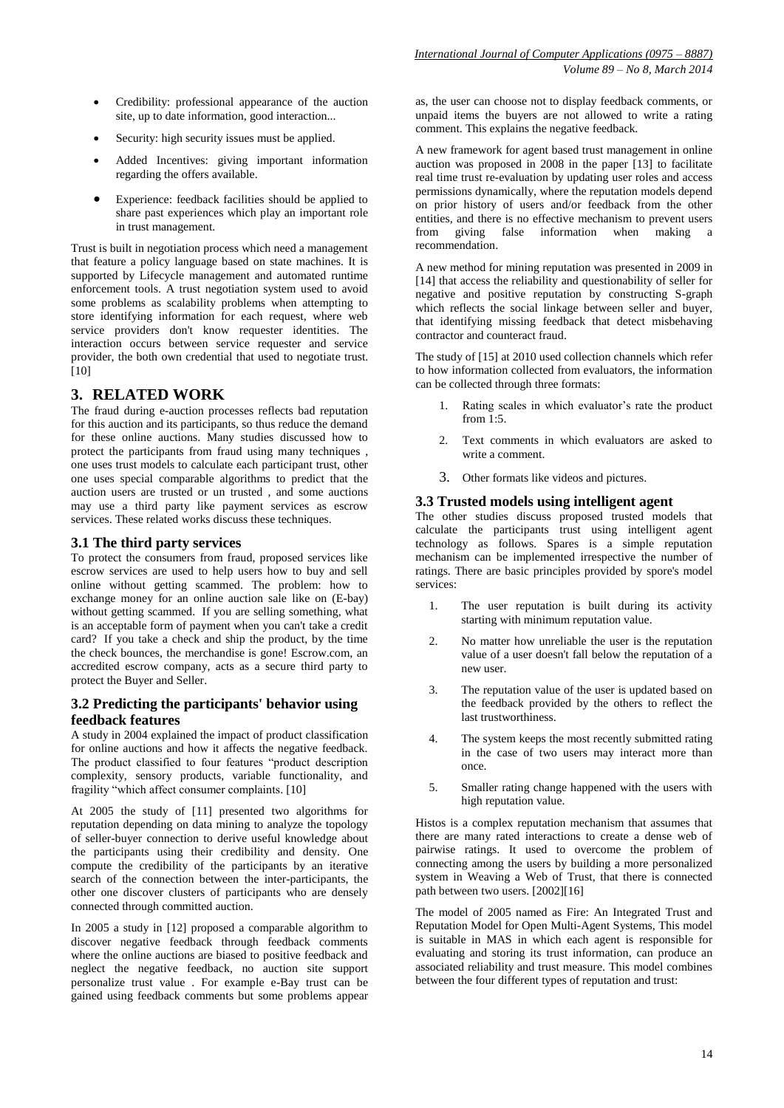- Credibility: professional appearance of the auction site, up to date information, good interaction...
- Security: high security issues must be applied.
- Added Incentives: giving important information regarding the offers available.
- Experience: feedback facilities should be applied to share past experiences which play an important role in trust management.

Trust is built in negotiation process which need a management that feature a policy language based on state machines. It is supported by Lifecycle management and automated runtime enforcement tools. A trust negotiation system used to avoid some problems as scalability problems when attempting to store identifying information for each request, where web service providers don't know requester identities. The interaction occurs between service requester and service provider, the both own credential that used to negotiate trust. [10]

## **3. RELATED WORK**

The fraud during e-auction processes reflects bad reputation for this auction and its participants, so thus reduce the demand for these online auctions. Many studies discussed how to protect the participants from fraud using many techniques , one uses trust models to calculate each participant trust, other one uses special comparable algorithms to predict that the auction users are trusted or un trusted , and some auctions may use a third party like payment services as escrow services. These related works discuss these techniques.

## **3.1 The third party services**

To protect the consumers from fraud, proposed services like escrow services are used to help users how to buy and sell online without getting scammed. The problem: how to exchange money for an online auction sale like on (E-bay) without getting scammed. If you are selling something, what is an acceptable form of payment when you can't take a credit card? If you take a check and ship the product, by the time the check bounces, the merchandise is gone! Escrow.com, an accredited escrow company, acts as a secure third party to protect the Buyer and Seller.

#### **3.2 Predicting the participants' behavior using feedback features**

A study in 2004 explained the impact of product classification for online auctions and how it affects the negative feedback. The product classified to four features "product description complexity, sensory products, variable functionality, and fragility "which affect consumer complaints. [10]

At 2005 the study of [11] presented two algorithms for reputation depending on data mining to analyze the topology of seller-buyer connection to derive useful knowledge about the participants using their credibility and density. One compute the credibility of the participants by an iterative search of the connection between the inter-participants, the other one discover clusters of participants who are densely connected through committed auction.

In 2005 a study in [12] proposed a comparable algorithm to discover negative feedback through feedback comments where the online auctions are biased to positive feedback and neglect the negative feedback, no auction site support personalize trust value . For example e-Bay trust can be gained using feedback comments but some problems appear

as, the user can choose not to display feedback comments, or unpaid items the buyers are not allowed to write a rating comment. This explains the negative feedback.

A new framework for agent based trust management in online auction was proposed in 2008 in the paper [13] to facilitate real time trust re-evaluation by updating user roles and access permissions dynamically, where the reputation models depend on prior history of users and/or feedback from the other entities, and there is no effective mechanism to prevent users from giving false information when making a recommendation.

A new method for mining reputation was presented in 2009 in [14] that access the reliability and questionability of seller for negative and positive reputation by constructing S-graph which reflects the social linkage between seller and buyer, that identifying missing feedback that detect misbehaving contractor and counteract fraud.

The study of [15] at 2010 used collection channels which refer to how information collected from evaluators, the information can be collected through three formats:

- 1. Rating scales in which evaluator's rate the product from  $1.5$ .
- 2. Text comments in which evaluators are asked to write a comment.
- 3. Other formats like videos and pictures.

#### **3.3 Trusted models using intelligent agent**

The other studies discuss proposed trusted models that calculate the participants trust using intelligent agent technology as follows. Spares is a simple reputation mechanism can be implemented irrespective the number of ratings. There are basic principles provided by spore's model services:

- 1. The user reputation is built during its activity starting with minimum reputation value.
- 2. No matter how unreliable the user is the reputation value of a user doesn't fall below the reputation of a new user.
- 3. The reputation value of the user is updated based on the feedback provided by the others to reflect the last trustworthiness.
- 4. The system keeps the most recently submitted rating in the case of two users may interact more than once.
- 5. Smaller rating change happened with the users with high reputation value.

Histos is a complex reputation mechanism that assumes that there are many rated interactions to create a dense web of pairwise ratings. It used to overcome the problem of connecting among the users by building a more personalized system in Weaving a Web of Trust, that there is connected path between two users. [2002][16]

The model of 2005 named as Fire: An Integrated Trust and Reputation Model for Open Multi-Agent Systems, This model is suitable in MAS in which each agent is responsible for evaluating and storing its trust information, can produce an associated reliability and trust measure. This model combines between the four different types of reputation and trust: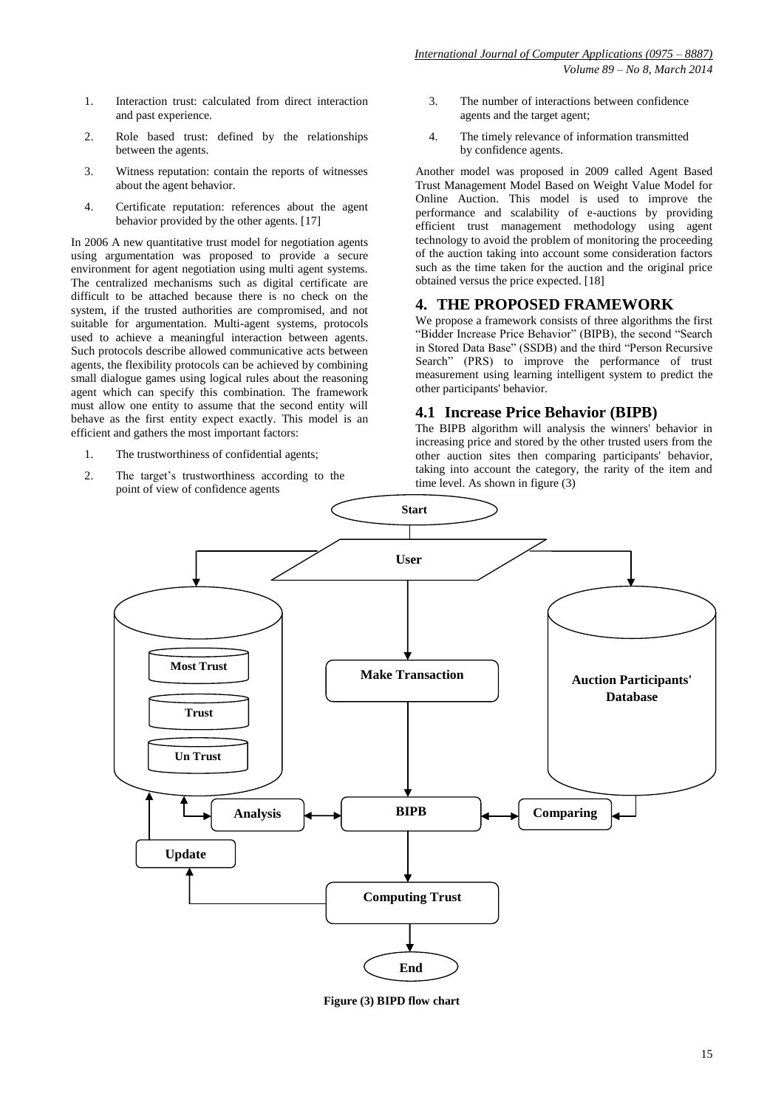*International Journal of Computer Applications (0975 – 8887) Volume 89 – No 8, March 2014*

- 1. Interaction trust: calculated from direct interaction and past experience.
- 2. Role based trust: defined by the relationships between the agents.
- 3. Witness reputation: contain the reports of witnesses about the agent behavior.
- 4. Certificate reputation: references about the agent behavior provided by the other agents. [17]

In 2006 A new quantitative trust model for negotiation agents using argumentation was proposed to provide a secure environment for agent negotiation using multi agent systems. The centralized mechanisms such as digital certificate are difficult to be attached because there is no check on the system, if the trusted authorities are compromised, and not suitable for argumentation. Multi-agent systems, protocols used to achieve a meaningful interaction between agents. Such protocols describe allowed communicative acts between agents, the flexibility protocols can be achieved by combining small dialogue games using logical rules about the reasoning agent which can specify this combination. The framework must allow one entity to assume that the second entity will behave as the first entity expect exactly. This model is an efficient and gathers the most important factors:

- 1. The trustworthiness of confidential agents;
- 2. The target's trustworthiness according to the point of view of confidence agents
- 3. The number of interactions between confidence agents and the target agent;
- 4. The timely relevance of information transmitted by confidence agents.

Another model was proposed in 2009 called Agent Based Trust Management Model Based on Weight Value Model for Online Auction. This model is used to improve the performance and scalability of e-auctions by providing efficient trust management methodology using agent technology to avoid the problem of monitoring the proceeding of the auction taking into account some consideration factors such as the time taken for the auction and the original price obtained versus the price expected. [18]

#### **4. THE PROPOSED FRAMEWORK**

We propose a framework consists of three algorithms the first "Bidder Increase Price Behavior" (BIPB), the second "Search in Stored Data Base" (SSDB) and the third "Person Recursive Search" (PRS) to improve the performance of trust measurement using learning intelligent system to predict the other participants' behavior.

#### **4.1 Increase Price Behavior (BIPB)**

The BIPB algorithm will analysis the winners' behavior in increasing price and stored by the other trusted users from the other auction sites then comparing participants' behavior, taking into account the category, the rarity of the item and time level. As shown in figure (3)



**Figure (3) BIPD flow chart**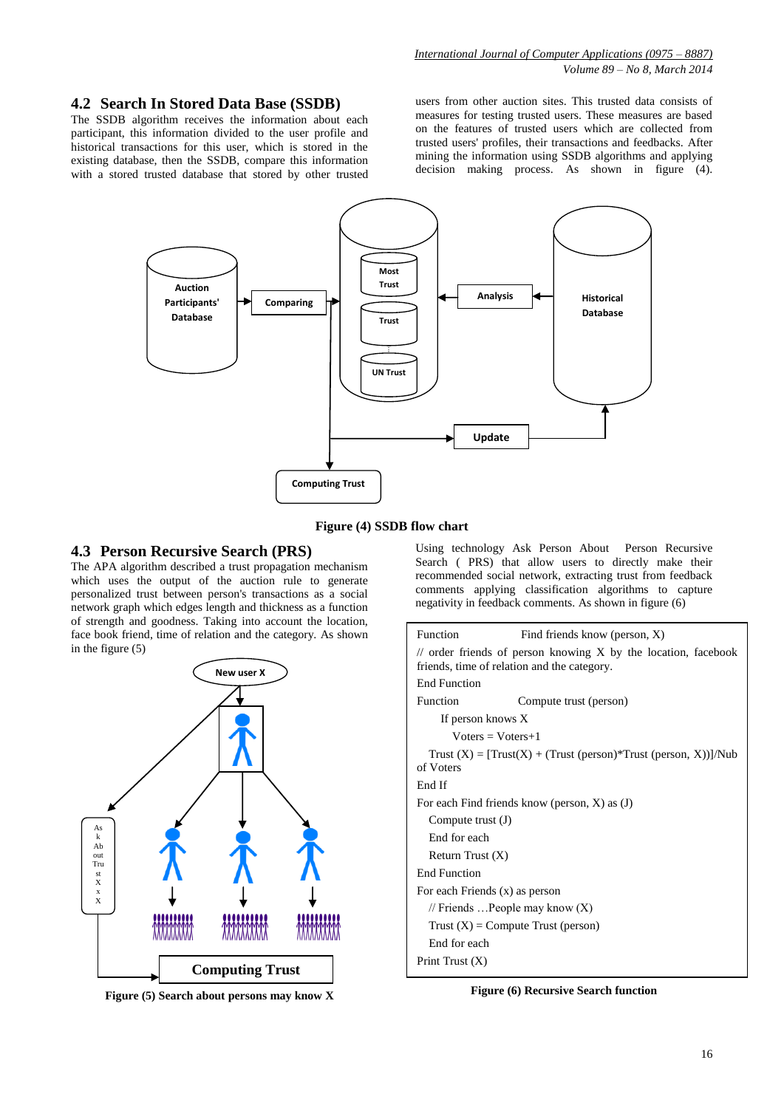#### **4.2 Search In Stored Data Base (SSDB)**

The SSDB algorithm receives the information about each participant, this information divided to the user profile and historical transactions for this user, which is stored in the existing database, then the SSDB, compare this information with a stored trusted database that stored by other trusted

users from other auction sites. This trusted data consists of measures for testing trusted users. These measures are based on the features of trusted users which are collected from trusted users' profiles, their transactions and feedbacks. After mining the information using SSDB algorithms and applying decision making process. As shown in figure (4).



**Figure (4) SSDB flow chart**

#### **4.3 Person Recursive Search (PRS)**

The APA algorithm described a trust propagation mechanism which uses the output of the auction rule to generate personalized trust between person's transactions as a social network graph which edges length and thickness as a function of strength and goodness. Taking into account the location, face book friend, time of relation and the category. As shown in the figure (5)



**Figure (5) Search about persons may know X**

Using technology Ask Person About Person Recursive Search ( PRS) that allow users to directly make their recommended social network, extracting trust from feedback comments applying classification algorithms to capture negativity in feedback comments. As shown in figure (6)

| Function                                                                                                          | Find friends know (person, X)    |  |  |  |  |
|-------------------------------------------------------------------------------------------------------------------|----------------------------------|--|--|--|--|
| $\ell$ order friends of person knowing X by the location, facebook<br>friends, time of relation and the category. |                                  |  |  |  |  |
| End Function                                                                                                      |                                  |  |  |  |  |
| Function                                                                                                          | Compute trust (person)           |  |  |  |  |
| If person knows X                                                                                                 |                                  |  |  |  |  |
| $Voters = Voters + 1$                                                                                             |                                  |  |  |  |  |
| Trust $(X) = [Trust(X) + (Trust (person)*Trust (person, X))]$ /Nub<br>of Voters                                   |                                  |  |  |  |  |
| End If                                                                                                            |                                  |  |  |  |  |
| For each Find friends know (person, $X$ ) as (J)                                                                  |                                  |  |  |  |  |
| Compute trust $(J)$                                                                                               |                                  |  |  |  |  |
| End for each                                                                                                      |                                  |  |  |  |  |
| Return Trust $(X)$                                                                                                |                                  |  |  |  |  |
| <b>End Function</b>                                                                                               |                                  |  |  |  |  |
| For each Friends (x) as person                                                                                    |                                  |  |  |  |  |
|                                                                                                                   | // Friends People may know $(X)$ |  |  |  |  |
| $Trust(X) = Compute Trust (person)$                                                                               |                                  |  |  |  |  |
| End for each                                                                                                      |                                  |  |  |  |  |
| Print Trust $(X)$                                                                                                 |                                  |  |  |  |  |

**Figure (6) Recursive Search function**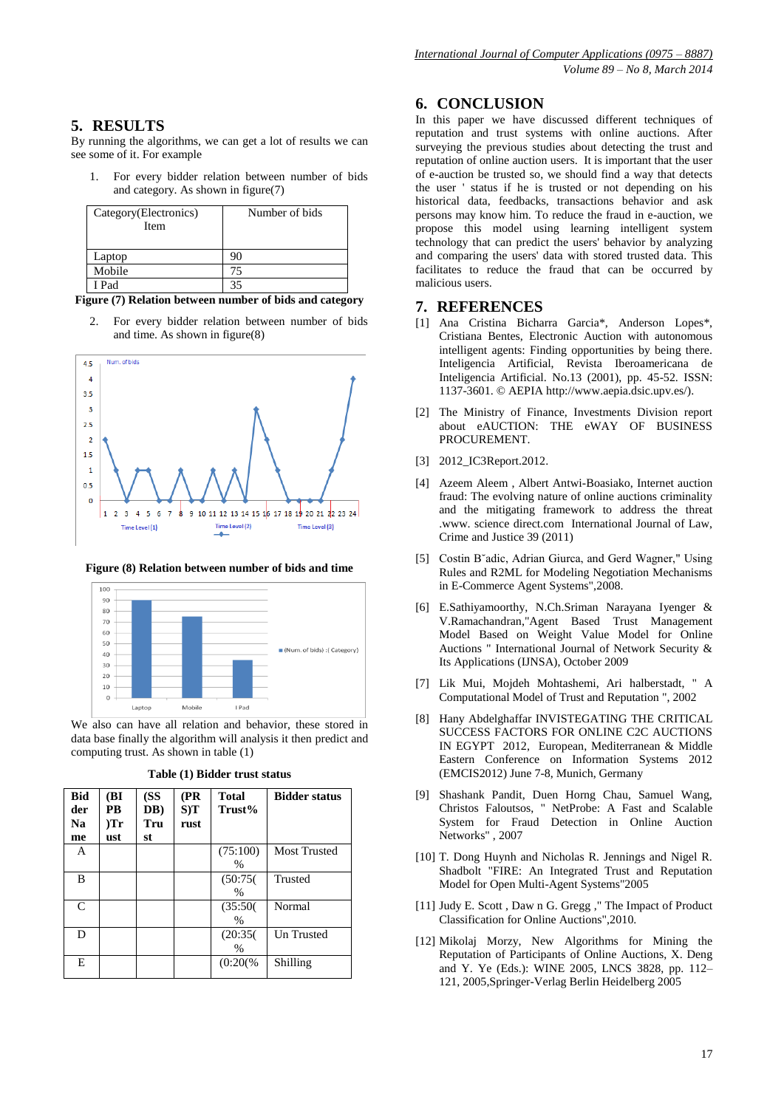# **5. RESULTS**

By running the algorithms, we can get a lot of results we can see some of it. For example

For every bidder relation between number of bids and category. As shown in figure(7)

| Category(Electronics)<br>Item | Number of bids |
|-------------------------------|----------------|
| Laptop                        |                |
| Mobile                        | 75             |
| I Pad                         |                |

**Figure (7) Relation between number of bids and category**

2. For every bidder relation between number of bids and time. As shown in figure(8)







We also can have all relation and behavior, these stored in data base finally the algorithm will analysis it then predict and computing trust. As shown in table (1)

| <b>Bid</b><br>der<br>Na<br>me | (BI<br>PB<br>Tr<br>ust | (SS<br>DB)<br>Tru<br>st | (PR)<br>$S$ )T<br>rust | <b>Total</b><br>Trust%    | <b>Bidder status</b> |
|-------------------------------|------------------------|-------------------------|------------------------|---------------------------|----------------------|
| A                             |                        |                         |                        | (75:100)<br>$\frac{0}{0}$ | Most Trusted         |
| B                             |                        |                         |                        | (50:75(<br>$\frac{0}{0}$  | <b>Trusted</b>       |
| $\mathsf{C}$                  |                        |                         |                        | (35:50(<br>$\%$           | Normal               |
| D                             |                        |                         |                        | (20:35)<br>$\frac{0}{0}$  | Un Trusted           |
| E                             |                        |                         |                        | $(0:20\%)$                | Shilling             |

## **6. CONCLUSION**

In this paper we have discussed different techniques of reputation and trust systems with online auctions. After surveying the previous studies about detecting the trust and reputation of online auction users. It is important that the user of e-auction be trusted so, we should find a way that detects the user ' status if he is trusted or not depending on his historical data, feedbacks, transactions behavior and ask persons may know him. To reduce the fraud in e-auction, we propose this model using learning intelligent system technology that can predict the users' behavior by analyzing and comparing the users' data with stored trusted data. This facilitates to reduce the fraud that can be occurred by malicious users.

## **7. REFERENCES**

- [1] Ana Cristina Bicharra Garcia\*, Anderson Lopes\*, Cristiana Bentes, Electronic Auction with autonomous intelligent agents: Finding opportunities by being there. Inteligencia Artificial, Revista Iberoamericana de Inteligencia Artificial. No.13 (2001), pp. 45-52. ISSN: 1137-3601. © AEPIA http://www.aepia.dsic.upv.es/).
- [2] The Ministry of Finance, Investments Division report about eAUCTION: THE eWAY OF BUSINESS PROCUREMENT.
- [3] 2012\_IC3Report.2012.
- [4] Azeem Aleem , Albert Antwi-Boasiako, Internet auction fraud: The evolving nature of online auctions criminality and the mitigating framework to address the threat .www. science direct.com International Journal of Law, Crime and Justice 39 (2011)
- [5] Costin B˘adic, Adrian Giurca, and Gerd Wagner," Using Rules and R2ML for Modeling Negotiation Mechanisms in E-Commerce Agent Systems",2008.
- [6] E.Sathiyamoorthy, N.Ch.Sriman Narayana Iyenger & V.Ramachandran,"Agent Based Trust Management Model Based on Weight Value Model for Online Auctions " International Journal of Network Security & Its Applications (IJNSA), October 2009
- [7] Lik Mui, Mojdeh Mohtashemi, Ari halberstadt, " A Computational Model of Trust and Reputation ", 2002
- [8] Hany Abdelghaffar INVISTEGATING THE CRITICAL SUCCESS FACTORS FOR ONLINE C2C AUCTIONS IN EGYPT 2012, European, Mediterranean & Middle Eastern Conference on Information Systems 2012 (EMCIS2012) June 7-8, Munich, Germany
- [9] Shashank Pandit, Duen Horng Chau, Samuel Wang, Christos Faloutsos, " NetProbe: A Fast and Scalable System for Fraud Detection in Online Auction Networks" , 2007
- [10] T. Dong Huynh and Nicholas R. Jennings and Nigel R. Shadbolt "FIRE: An Integrated Trust and Reputation Model for Open Multi-Agent Systems"2005
- [11] Judy E. Scott , Daw n G. Gregg ," The Impact of Product Classification for Online Auctions",2010.
- [12] Mikolaj Morzy, New Algorithms for Mining the Reputation of Participants of Online Auctions, X. Deng and Y. Ye (Eds.): WINE 2005, LNCS 3828, pp. 112– 121, 2005,Springer-Verlag Berlin Heidelberg 2005